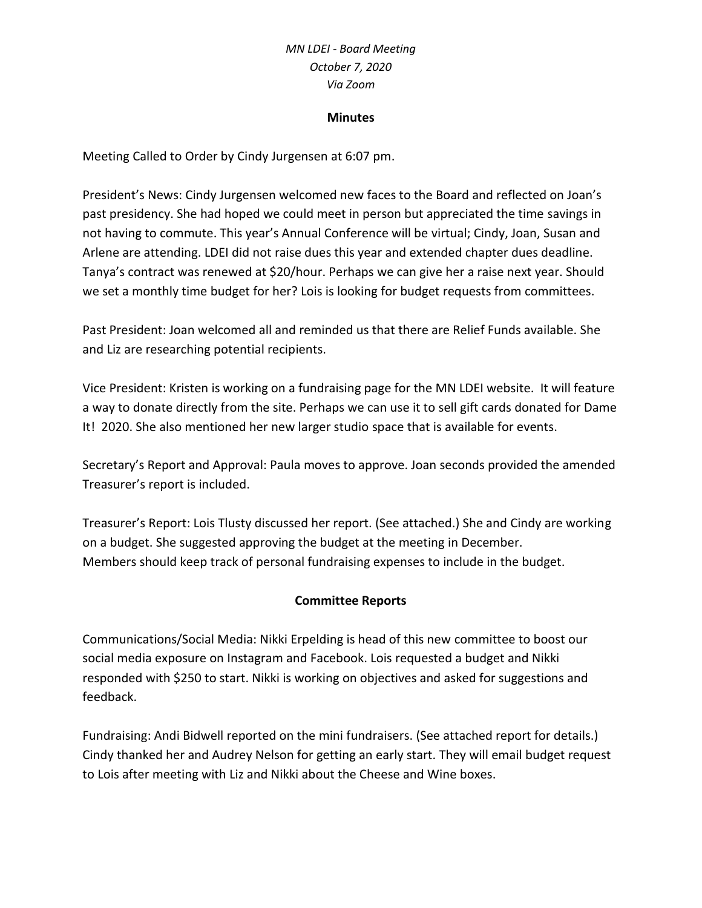# *MN LDEI - Board Meeting October 7, 2020 Via Zoom*

#### **Minutes**

Meeting Called to Order by Cindy Jurgensen at 6:07 pm.

President's News: Cindy Jurgensen welcomed new faces to the Board and reflected on Joan's past presidency. She had hoped we could meet in person but appreciated the time savings in not having to commute. This year's Annual Conference will be virtual; Cindy, Joan, Susan and Arlene are attending. LDEI did not raise dues this year and extended chapter dues deadline. Tanya's contract was renewed at \$20/hour. Perhaps we can give her a raise next year. Should we set a monthly time budget for her? Lois is looking for budget requests from committees.

Past President: Joan welcomed all and reminded us that there are Relief Funds available. She and Liz are researching potential recipients.

Vice President: Kristen is working on a fundraising page for the MN LDEI website. It will feature a way to donate directly from the site. Perhaps we can use it to sell gift cards donated for Dame It! 2020. She also mentioned her new larger studio space that is available for events.

Secretary's Report and Approval: Paula moves to approve. Joan seconds provided the amended Treasurer's report is included.

Treasurer's Report: Lois Tlusty discussed her report. (See attached.) She and Cindy are working on a budget. She suggested approving the budget at the meeting in December. Members should keep track of personal fundraising expenses to include in the budget.

### **Committee Reports**

Communications/Social Media: Nikki Erpelding is head of this new committee to boost our social media exposure on Instagram and Facebook. Lois requested a budget and Nikki responded with \$250 to start. Nikki is working on objectives and asked for suggestions and feedback.

Fundraising: Andi Bidwell reported on the mini fundraisers. (See attached report for details.) Cindy thanked her and Audrey Nelson for getting an early start. They will email budget request to Lois after meeting with Liz and Nikki about the Cheese and Wine boxes.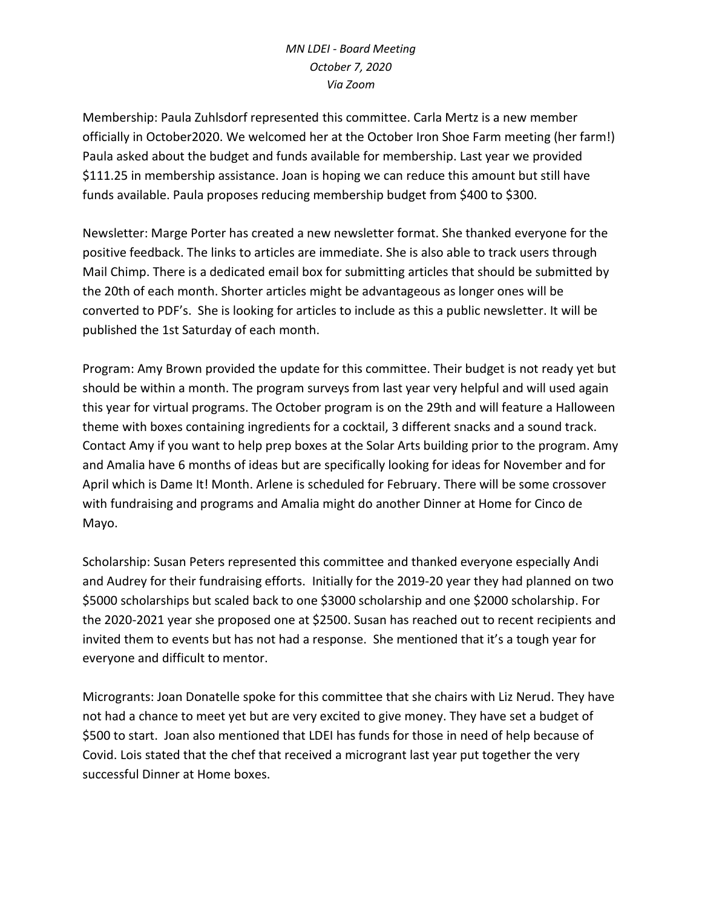# *MN LDEI - Board Meeting October 7, 2020 Via Zoom*

Membership: Paula Zuhlsdorf represented this committee. Carla Mertz is a new member officially in October2020. We welcomed her at the October Iron Shoe Farm meeting (her farm!) Paula asked about the budget and funds available for membership. Last year we provided \$111.25 in membership assistance. Joan is hoping we can reduce this amount but still have funds available. Paula proposes reducing membership budget from \$400 to \$300.

Newsletter: Marge Porter has created a new newsletter format. She thanked everyone for the positive feedback. The links to articles are immediate. She is also able to track users through Mail Chimp. There is a dedicated email box for submitting articles that should be submitted by the 20th of each month. Shorter articles might be advantageous as longer ones will be converted to PDF's. She is looking for articles to include as this a public newsletter. It will be published the 1st Saturday of each month.

Program: Amy Brown provided the update for this committee. Their budget is not ready yet but should be within a month. The program surveys from last year very helpful and will used again this year for virtual programs. The October program is on the 29th and will feature a Halloween theme with boxes containing ingredients for a cocktail, 3 different snacks and a sound track. Contact Amy if you want to help prep boxes at the Solar Arts building prior to the program. Amy and Amalia have 6 months of ideas but are specifically looking for ideas for November and for April which is Dame It! Month. Arlene is scheduled for February. There will be some crossover with fundraising and programs and Amalia might do another Dinner at Home for Cinco de Mayo.

Scholarship: Susan Peters represented this committee and thanked everyone especially Andi and Audrey for their fundraising efforts. Initially for the 2019-20 year they had planned on two \$5000 scholarships but scaled back to one \$3000 scholarship and one \$2000 scholarship. For the 2020-2021 year she proposed one at \$2500. Susan has reached out to recent recipients and invited them to events but has not had a response. She mentioned that it's a tough year for everyone and difficult to mentor.

Microgrants: Joan Donatelle spoke for this committee that she chairs with Liz Nerud. They have not had a chance to meet yet but are very excited to give money. They have set a budget of \$500 to start. Joan also mentioned that LDEI has funds for those in need of help because of Covid. Lois stated that the chef that received a microgrant last year put together the very successful Dinner at Home boxes.